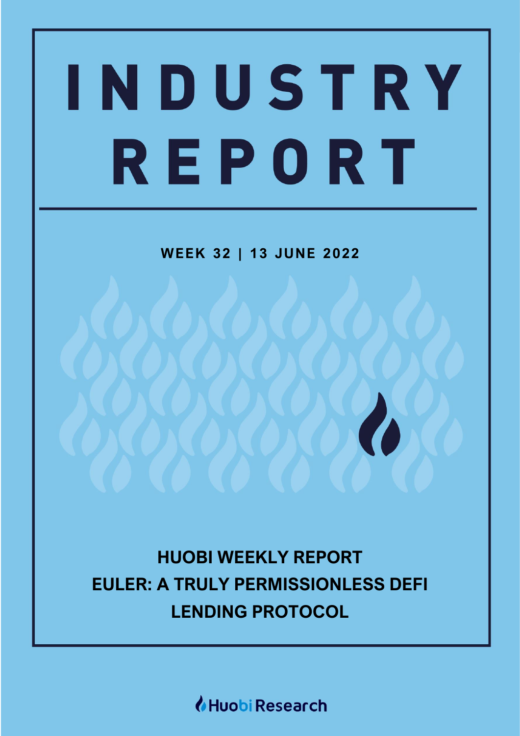# WEEK 23 | 07 APR 2022 [Grab your reader's attention with a great quote from the document or use this space to emphasize a key point. To place this text box anywhere on the page, just drag it.] REPORT

**WEEK 32 | 13 JUNE 2022**

**HUOBI WEEKLY REPORT EULER: A TRULY PERMISSIONLESS DEFI LENDING PROTOCOL**

*I* Huobi Research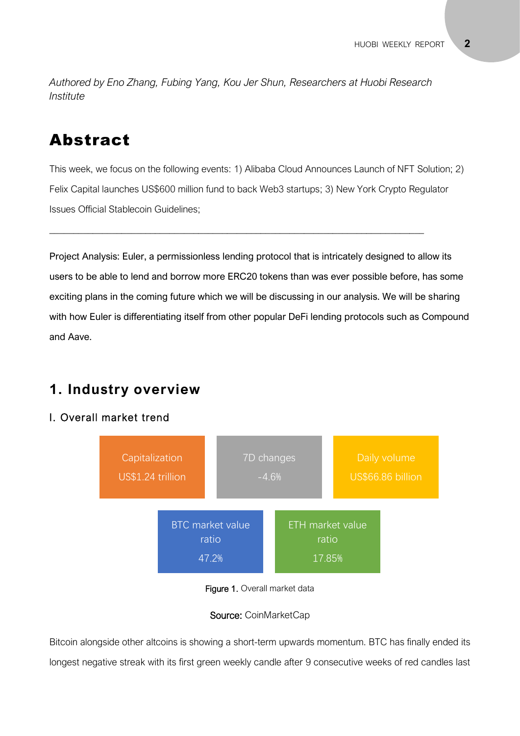*Authored by Eno Zhang, Fubing Yang, Kou Jer Shun, Researchers at Huobi Research Institute*

# Abstract

This week, we focus on the following events: 1) Alibaba Cloud Announces Launch of NFT Solution; 2) Felix Capital launches US\$600 million fund to back Web3 startups; 3) New York Crypto Regulator Issues Official Stablecoin Guidelines;

\_\_\_\_\_\_\_\_\_\_\_\_\_\_\_\_\_\_\_\_\_\_\_\_\_\_\_\_\_\_\_\_\_\_\_\_\_\_\_\_\_\_\_\_\_\_\_\_\_\_\_\_\_\_\_\_\_\_\_\_\_\_\_\_\_\_\_\_\_\_\_\_\_\_\_\_\_\_

Project Analysis: Euler, a permissionless lending protocol that is intricately designed to allow its users to be able to lend and borrow more ERC20 tokens than was ever possible before, has some exciting plans in the coming future which we will be discussing in our analysis. We will be sharing with how Euler is differentiating itself from other popular DeFi lending protocols such as Compound and Aave.

# **1. Industry overview**

## I. Overall market trend



Figure 1. Overall market data

#### Source: CoinMarketCap

Bitcoin alongside other altcoins is showing a short-term upwards momentum. BTC has finally ended its longest negative streak with its first green weekly candle after 9 consecutive weeks of red candles last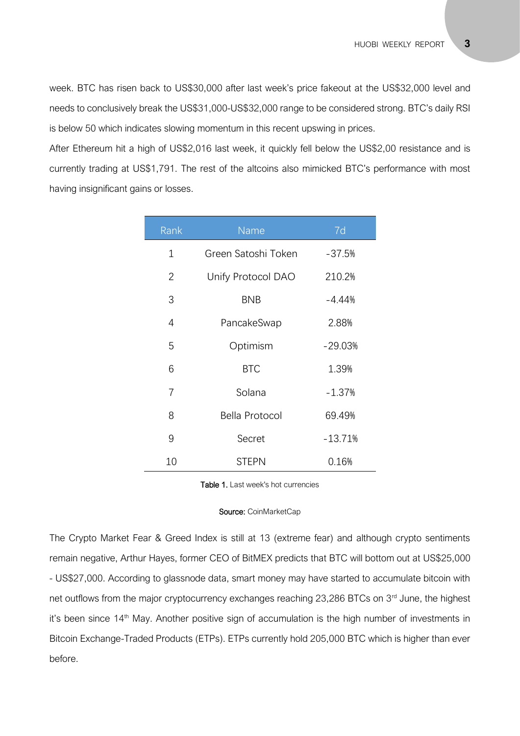week. BTC has risen back to US\$30,000 after last week's price fakeout at the US\$32,000 level and needs to conclusively break the US\$31,000-US\$32,000 range to be considered strong. BTC's daily RSI is below 50 which indicates slowing momentum in this recent upswing in prices.

After Ethereum hit a high of US\$2,016 last week, it quickly fell below the US\$2,00 resistance and is currently trading at US\$1,791. The rest of the altcoins also mimicked BTC's performance with most having insignificant gains or losses.

| Rank | Name                | 7d        |
|------|---------------------|-----------|
| 1    | Green Satoshi Token | $-37.5%$  |
| 2    | Unify Protocol DAO  | 210.2%    |
| 3    | <b>BNB</b>          | $-4.44%$  |
| 4    | PancakeSwap         | 2.88%     |
| 5    | Optimism            | $-29.03%$ |
| 6    | <b>BTC</b>          | 1.39%     |
| 7    | Solana              | $-1.37%$  |
| 8    | Bella Protocol      | 69.49%    |
| 9    | Secret              | $-13.71%$ |
| 10   | <b>STEPN</b>        | 0.16%     |

Table 1. Last week's hot currencies

## **Source:** CoinMarketCap

The Crypto Market Fear & Greed Index is still at 13 (extreme fear) and although crypto sentiments - US\$27,000. According to glassnode data, smart money may have started to accumulate bitcoin with remain negative, Arthur Hayes, former CEO of BitMEX predicts that BTC will bottom out at US\$25,000 net outflows from the major cryptocurrency exchanges reaching 23,286 BTCs on 3<sup>rd</sup> June, the highest it's been since 14<sup>th</sup> May. Another positive sign of accumulation is the high number of investments in Bitcoin Exchange-Traded Products (ETPs). ETPs currently hold 205,000 BTC which is higher than ever before.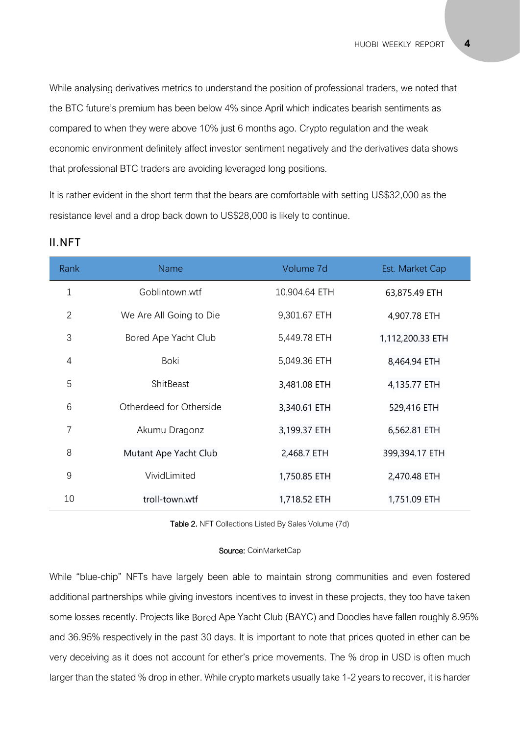While analysing derivatives metrics to understand the position of professional traders, we noted that the BTC future's premium has been below 4% since April which indicates bearish sentiments as compared to when they were above 10% just 6 months ago. Crypto regulation and the weak economic environment definitely affect investor sentiment negatively and the derivatives data shows that professional BTC traders are avoiding leveraged long positions.

It is rather evident in the short term that the bears are comfortable with setting US\$32,000 as the resistance level and a drop back down to US\$28,000 is likely to continue.

| Rank           | <b>Name</b>             | Volume 7d     | Est. Market Cap  |
|----------------|-------------------------|---------------|------------------|
| $\mathbf 1$    | Goblintown.wtf          | 10,904.64 ETH | 63,875.49 ETH    |
| $\overline{2}$ | We Are All Going to Die | 9,301.67 ETH  | 4,907.78 ETH     |
| 3              | Bored Ape Yacht Club    | 5,449.78 ETH  | 1,112,200.33 ETH |
| 4              | Boki                    | 5,049.36 ETH  | 8,464.94 ETH     |
| 5              | ShitBeast               | 3,481.08 ETH  | 4,135.77 ETH     |
| 6              | Otherdeed for Otherside | 3,340.61 ETH  | 529,416 ETH      |
| 7              | Akumu Dragonz           | 3,199.37 ETH  | 6,562.81 ETH     |
| 8              | Mutant Ape Yacht Club   | 2,468.7 ETH   | 399,394.17 ETH   |
| 9              | VividLimited            | 1,750.85 ETH  | 2,470.48 ETH     |
| 10             | troll-town.wtf          | 1,718.52 ETH  | 1,751.09 ETH     |

#### II.NFT

Table 2. NFT Collections Listed By Sales Volume (7d)

#### Source: CoinMarketCap

While "blue-chip" NFTs have largely been able to maintain strong communities and even fostered additional partnerships while giving investors incentives to invest in these projects, they too have taken some losses recently. Projects like Bored Ape Yacht Club (BAYC) and Doodles have fallen roughly 8.95% and 36.95% respectively in the past 30 days. It is important to note that prices quoted in ether can be very deceiving as it does not account for ether's price movements. The % drop in USD is often much larger than the stated % drop in ether. While crypto markets usually take 1-2 years to recover, it is harder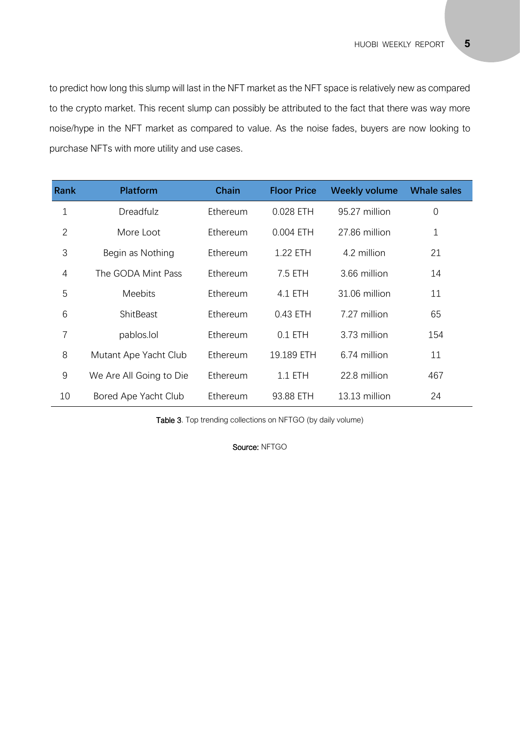to predict how long this slump will last in the NFT market as the NFT space is relatively new as compared to the crypto market. This recent slump can possibly be attributed to the fact that there was way more noise/hype in the NFT market as compared to value. As the noise fades, buyers are now looking to purchase NFTs with more utility and use cases.

| <b>Rank</b>    | <b>Platform</b>         | <b>Chain</b> | <b>Floor Price</b> | <b>Weekly volume</b> | <b>Whale sales</b> |
|----------------|-------------------------|--------------|--------------------|----------------------|--------------------|
| 1              | <b>Dreadfulz</b>        | Ethereum     | 0.028 ETH          | 95.27 million        | $\mathbf 0$        |
| $\overline{2}$ | More Loot               | Ethereum     | 0.004 ETH          | 27.86 million        | 1                  |
| 3              | Begin as Nothing        | Ethereum     | 1.22 ETH           | 4.2 million          | 21                 |
| 4              | The GODA Mint Pass      | Ethereum     | 7.5 ETH            | 3.66 million         | 14                 |
| 5              | <b>Meebits</b>          | Ethereum     | 4.1 ETH            | 31.06 million        | 11                 |
| 6              | ShitBeast               | Ethereum     | 0.43 ETH           | 7.27 million         | 65                 |
| 7              | pablos.lol              | Ethereum     | $0.1$ ETH          | 3.73 million         | 154                |
| 8              | Mutant Ape Yacht Club   | Ethereum     | 19.189 ETH         | 6.74 million         | 11                 |
| 9              | We Are All Going to Die | Ethereum     | $1.1$ ETH          | 22.8 million         | 467                |
| 10             | Bored Ape Yacht Club    | Ethereum     | 93.88 ETH          | 13.13 million        | 24                 |

Table 3. Top trending collections on NFTGO (by daily volume)

Source: NFTGO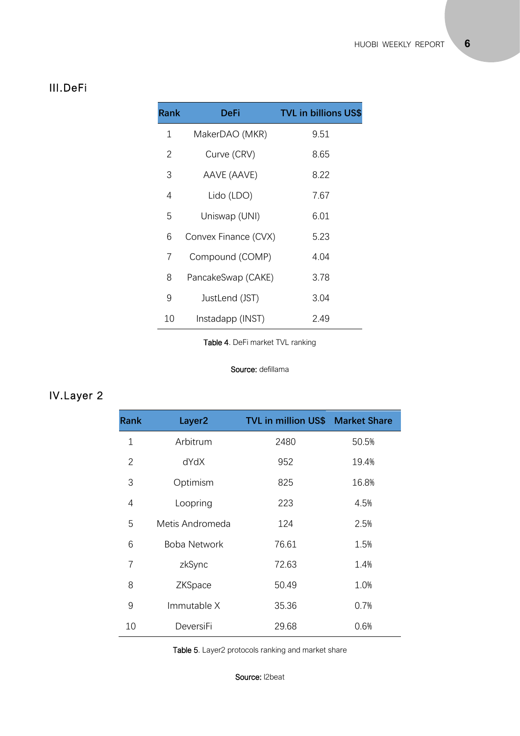## III.DeFi

| <b>Rank</b> | DeFi                 | <b>TVL in billions US\$</b> |
|-------------|----------------------|-----------------------------|
| 1           | MakerDAO (MKR)       | 9.51                        |
| 2           | Curve (CRV)          | 8.65                        |
| 3           | AAVE (AAVE)          | 8.22                        |
| 4           | Lido (LDO)           | 7.67                        |
| 5           | Uniswap (UNI)        | 6.01                        |
| 6           | Convex Finance (CVX) | 5.23                        |
| 7           | Compound (COMP)      | 4.04                        |
| 8           | PancakeSwap (CAKE)   | 3.78                        |
| 9           | JustLend (JST)       | 3.04                        |
| 10          | Instadapp (INST)     | 2.49                        |

Table 4. DeFi market TVL ranking

#### Source: defillama

# IV.Layer 2

| <b>Rank</b> | Layer <sub>2</sub> | <b>TVL in million US\$ Market Share</b> |       |
|-------------|--------------------|-----------------------------------------|-------|
| $\mathbf 1$ | Arbitrum           | 2480                                    | 50.5% |
| 2           | dYdX               | 952                                     | 19.4% |
| 3           | Optimism           | 825                                     | 16.8% |
| 4           | Loopring           | 223                                     | 4.5%  |
| 5           | Metis Andromeda    | 124                                     | 2.5%  |
| 6           | Boba Network       | 76.61                                   | 1.5%  |
| 7           | zkSync             | 72.63                                   | 1.4%  |
| 8           | ZKSpace            | 50.49                                   | 1.0%  |
| 9           | Immutable X        | 35.36                                   | 0.7%  |
| 10          | DeversiFi          | 29.68                                   | 0.6%  |

Table 5. Layer2 protocols ranking and market share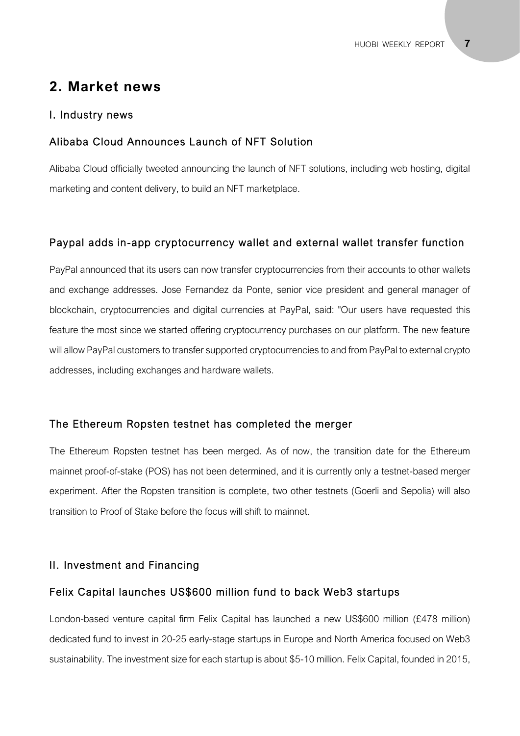# **2. Market news**

#### I. Industry news

#### Alibaba Cloud Announces Launch of NFT Solution

Alibaba Cloud officially tweeted announcing the launch of NFT solutions, including web hosting, digital marketing and content delivery, to build an NFT marketplace.

#### Paypal adds in-app cryptocurrency wallet and external wallet transfer function

PayPal announced that its users can now transfer cryptocurrencies from their accounts to other wallets and exchange addresses. Jose Fernandez da Ponte, senior vice president and general manager of blockchain, cryptocurrencies and digital currencies at PayPal, said: "Our users have requested this feature the most since we started offering cryptocurrency purchases on our platform. The new feature will allow PayPal customers to transfer supported cryptocurrencies to and from PayPal to external crypto addresses, including exchanges and hardware wallets.

#### The Ethereum Ropsten testnet has completed the merger

The Ethereum Ropsten testnet has been merged. As of now, the transition date for the Ethereum mainnet proof-of-stake (POS) has not been determined, and it is currently only a testnet-based merger experiment. After the Ropsten transition is complete, two other testnets (Goerli and Sepolia) will also transition to Proof of Stake before the focus will shift to mainnet.

#### II. Investment and Financing

#### Felix Capital launches US\$600 million fund to back Web3 startups

London-based venture capital firm Felix Capital has launched a new US\$600 million (£478 million) dedicated fund to invest in 20-25 early-stage startups in Europe and North America focused on Web3 sustainability. The investment size for each startup is about \$5-10 million. Felix Capital, founded in 2015,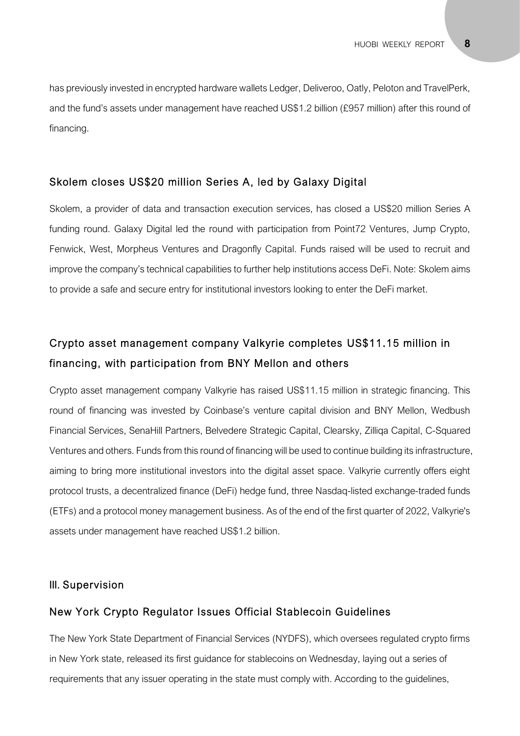has previously invested in encrypted hardware wallets Ledger, Deliveroo, Oatly, Peloton and TravelPerk, and the fund's assets under management have reached US\$1.2 billion (£957 million) after this round of financing.

#### Skolem closes US\$20 million Series A, led by Galaxy Digital

Skolem, a provider of data and transaction execution services, has closed a US\$20 million Series A funding round. Galaxy Digital led the round with participation from Point72 Ventures, Jump Crypto, Fenwick, West, Morpheus Ventures and Dragonfly Capital. Funds raised will be used to recruit and improve the company's technical capabilities to further help institutions access DeFi. Note: Skolem aims to provide a safe and secure entry for institutional investors looking to enter the DeFi market.

# Crypto asset management company Valkyrie completes US\$11.15 million in financing, with participation from BNY Mellon and others

Crypto asset management company Valkyrie has raised US\$11.15 million in strategic financing. This round of financing was invested by Coinbase's venture capital division and BNY Mellon, Wedbush Financial Services, SenaHill Partners, Belvedere Strategic Capital, Clearsky, Zilliqa Capital, C-Squared Ventures and others. Funds from this round of financing will be used to continue building its infrastructure, aiming to bring more institutional investors into the digital asset space. Valkyrie currently offers eight protocol trusts, a decentralized finance (DeFi) hedge fund, three Nasdaq-listed exchange-traded funds (ETFs) and a protocol money management business. As of the end of the first quarter of 2022, Valkyrie's assets under management have reached US\$1.2 billion.

#### III. Supervision

#### New York Crypto Regulator Issues Official Stablecoin Guidelines

The New York State Department of Financial Services (NYDFS), which oversees regulated crypto firms in New York state, released its first guidance for stablecoins on Wednesday, laying out a series of requirements that any issuer operating in the state must comply with. According to the guidelines,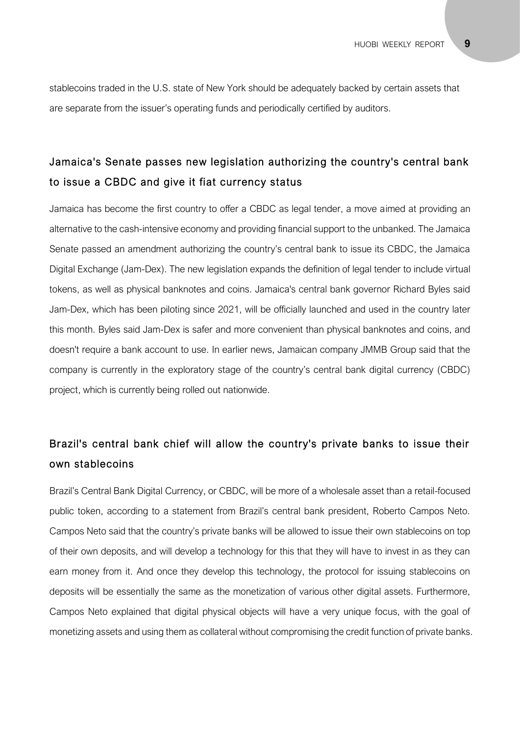stablecoins traded in the U.S. state of New York should be adequately backed by certain assets that are separate from the issuer's operating funds and periodically certified by auditors.

# Jamaica's Senate passes new legislation authorizing the country's central bank to issue a CBDC and give it fiat currency status

Jamaica has become the first country to offer a CBDC as legal tender, a move aimed at providing an alternative to the cash-intensive economy and providing financial support to the unbanked. The Jamaica Senate passed an amendment authorizing the country's central bank to issue its CBDC, the Jamaica Digital Exchange (Jam-Dex). The new legislation expands the definition of legal tender to include virtual tokens, as well as physical banknotes and coins. Jamaica's central bank governor Richard Byles said Jam-Dex, which has been piloting since 2021, will be officially launched and used in the country later this month. Byles said Jam-Dex is safer and more convenient than physical banknotes and coins, and doesn't require a bank account to use. In earlier news, Jamaican company JMMB Group said that the company is currently in the exploratory stage of the country's central bank digital currency (CBDC) project, which is currently being rolled out nationwide.

# Brazil's central bank chief will allow the country's private banks to issue their own stablecoins

Brazil's Central Bank Digital Currency, or CBDC, will be more of a wholesale asset than a retail-focused public token, according to a statement from Brazil's central bank president, Roberto Campos Neto. Campos Neto said that the country's private banks will be allowed to issue their own stablecoins on top of their own deposits, and will develop a technology for this that they will have to invest in as they can earn money from it. And once they develop this technology, the protocol for issuing stablecoins on deposits will be essentially the same as the monetization of various other digital assets. Furthermore, Campos Neto explained that digital physical objects will have a very unique focus, with the goal of monetizing assets and using them as collateral without compromising the credit function of private banks.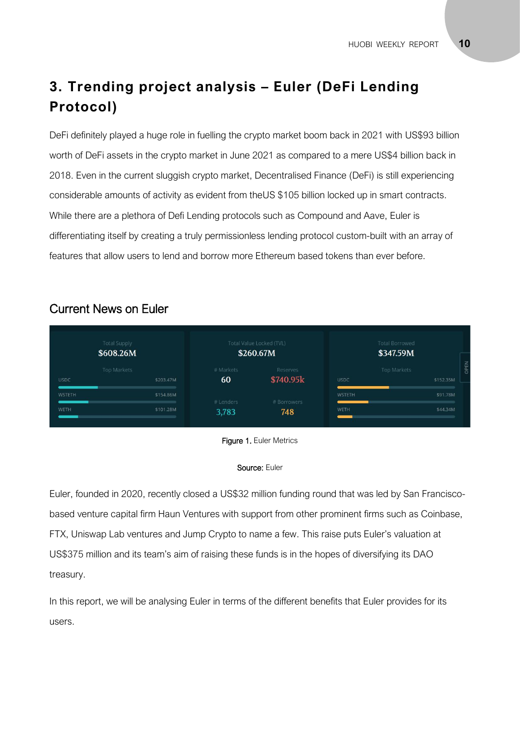# **3. Trending project analysis – Euler (DeFi Lending Protocol)**

DeFi definitely played a huge role in fuelling the crypto market boom back in 2021 with US\$93 billion worth of DeFi assets in the crypto market in June 2021 as compared to a mere US\$4 billion back in 2018. Even in the current sluggish crypto market, Decentralised Finance (DeFi) is still experiencing considerable amounts of activity as evident from theUS \$105 billion locked up in smart contracts. While there are a plethora of Defi Lending protocols such as Compound and Aave, Euler is differentiating itself by creating a truly permissionless lending protocol custom-built with an array of features that allow users to lend and borrow more Ethereum based tokens than ever before.

## Current News on Euler

| <b>Total Supply</b><br>\$608.26M |                          |                 | Total Value Locked (TVL)<br>\$260.67M | <b>Total Borrowed</b><br>\$347.59M                                                                                                                                                                                                             |                                  |
|----------------------------------|--------------------------|-----------------|---------------------------------------|------------------------------------------------------------------------------------------------------------------------------------------------------------------------------------------------------------------------------------------------|----------------------------------|
| <b>USDC</b>                      | Top Markets<br>\$203.47M | # Markets<br>60 | Reserves<br>\$740.95k                 | <b>USDC</b>                                                                                                                                                                                                                                    | OPEN<br>Top Markets<br>\$152.35M |
| WSTETH<br><b>STATISTICS</b>      | \$154.86M                | # Lenders       | # Borrowers                           | WSTETH<br><u> The Community of the Community of the Community of the Community of the Community of the Community of the Community of the Community of the Community of the Community of the Community of the Community of the Community of</u> | \$91.78M                         |
| WETH                             | \$101.28M                | 3,783           | 748                                   | WETH<br>_                                                                                                                                                                                                                                      | \$44,34M                         |



#### Source: Euler

Euler, founded in 2020, recently closed a US\$32 million funding round that was led by San Franciscobased venture capital firm Haun Ventures with support from other prominent firms such as Coinbase, FTX, Uniswap Lab ventures and Jump Crypto to name a few. This raise puts Euler's valuation at US\$375 million and its team's aim of raising these funds is in the hopes of diversifying its DAO treasury.

In this report, we will be analysing Euler in terms of the different benefits that Euler provides for its users.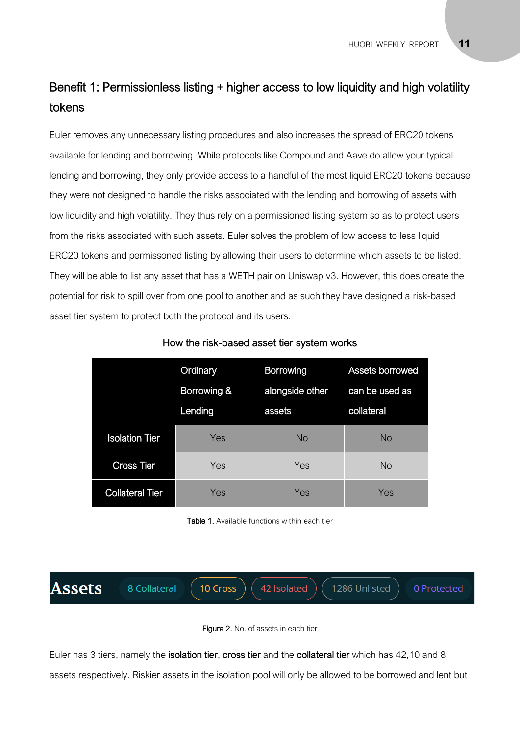# Benefit 1: Permissionless listing + higher access to low liquidity and high volatility tokens

Euler removes any unnecessary listing procedures and also increases the spread of ERC20 tokens available for lending and borrowing. While protocols like Compound and Aave do allow your typical lending and borrowing, they only provide access to a handful of the most liquid ERC20 tokens because they were not designed to handle the risks associated with the lending and borrowing of assets with low liquidity and high volatility. They thus rely on a permissioned listing system so as to protect users from the risks associated with such assets. Euler solves the problem of low access to less liquid ERC20 tokens and permissoned listing by allowing their users to determine which assets to be listed. They will be able to list any asset that has a WETH pair on Uniswap v3. However, this does create the potential for risk to spill over from one pool to another and as such they have designed a risk-based asset tier system to protect both the protocol and its users.

|                        | Ordinary    | <b>Borrowing</b> | Assets borrowed |
|------------------------|-------------|------------------|-----------------|
|                        | Borrowing & | alongside other  | can be used as  |
|                        | Lending     | assets           | collateral      |
| <b>Isolation Tier</b>  | Yes         | No.              | No              |
| <b>Cross Tier</b>      | Yes         | Yes              | <b>No</b>       |
| <b>Collateral Tier</b> | Yes         | Yes              | Yes             |

#### How the risk-based asset tier system works

Table 1. Available functions within each tier





Euler has 3 tiers, namely the isolation tier, cross tier and the collateral tier which has 42,10 and 8 assets respectively. Riskier assets in the isolation pool will only be allowed to be borrowed and lent but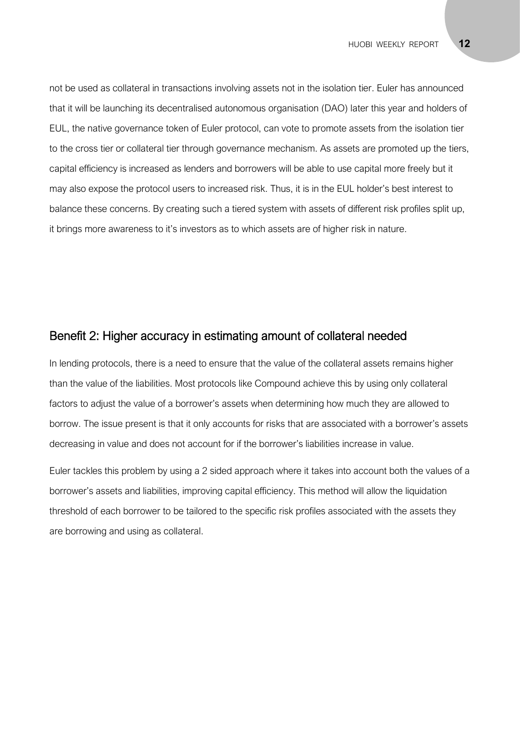not be used as collateral in transactions involving assets not in the isolation tier. Euler has announced that it will be launching its decentralised autonomous organisation (DAO) later this year and holders of EUL, the native governance token of Euler protocol, can vote to promote assets from the isolation tier to the cross tier or collateral tier through governance mechanism. As assets are promoted up the tiers, capital efficiency is increased as lenders and borrowers will be able to use capital more freely but it may also expose the protocol users to increased risk. Thus, it is in the EUL holder's best interest to balance these concerns. By creating such a tiered system with assets of different risk profiles split up, it brings more awareness to it's investors as to which assets are of higher risk in nature.

#### Benefit 2: Higher accuracy in estimating amount of collateral needed

In lending protocols, there is a need to ensure that the value of the collateral assets remains higher than the value of the liabilities. Most protocols like Compound achieve this by using only collateral factors to adjust the value of a borrower's assets when determining how much they are allowed to borrow. The issue present is that it only accounts for risks that are associated with a borrower's assets decreasing in value and does not account for if the borrower's liabilities increase in value.

Euler tackles this problem by using a 2 sided approach where it takes into account both the values of a borrower's assets and liabilities, improving capital efficiency. This method will allow the liquidation threshold of each borrower to be tailored to the specific risk profiles associated with the assets they are borrowing and using as collateral.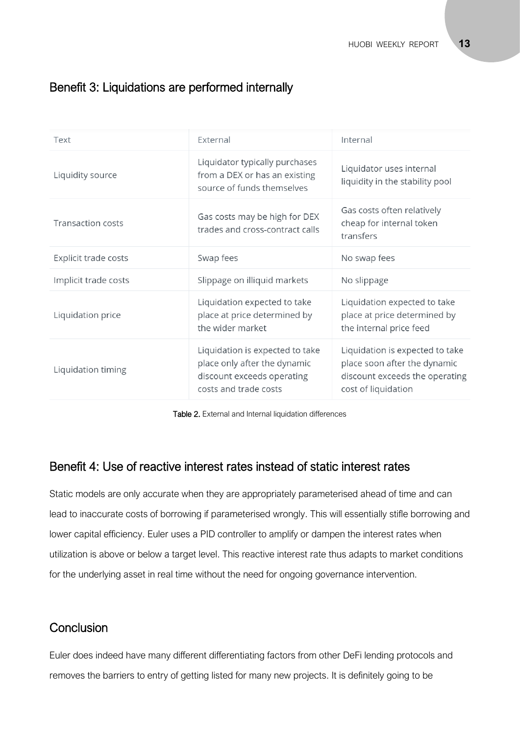# Benefit 3: Liquidations are performed internally

| Text                     | External                                                                                                               | Internal                                                                                                                 |
|--------------------------|------------------------------------------------------------------------------------------------------------------------|--------------------------------------------------------------------------------------------------------------------------|
| Liquidity source         | Liquidator typically purchases<br>from a DEX or has an existing<br>source of funds themselves                          | Liquidator uses internal<br>liquidity in the stability pool                                                              |
| <b>Transaction costs</b> | Gas costs may be high for DEX<br>trades and cross-contract calls                                                       | Gas costs often relatively<br>cheap for internal token<br>transfers                                                      |
| Explicit trade costs     | Swap fees                                                                                                              | No swap fees                                                                                                             |
| Implicit trade costs     | Slippage on illiquid markets                                                                                           | No slippage                                                                                                              |
| Liquidation price        | Liquidation expected to take<br>place at price determined by<br>the wider market                                       | Liquidation expected to take<br>place at price determined by<br>the internal price feed                                  |
| Liquidation timing       | Liquidation is expected to take<br>place only after the dynamic<br>discount exceeds operating<br>costs and trade costs | Liquidation is expected to take<br>place soon after the dynamic<br>discount exceeds the operating<br>cost of liquidation |

Table 2. External and Internal liquidation differences

### Benefit 4: Use of reactive interest rates instead of static interest rates

Static models are only accurate when they are appropriately parameterised ahead of time and can lead to inaccurate costs of borrowing if parameterised wrongly. This will essentially stifle borrowing and lower capital efficiency. Euler uses a PID controller to amplify or dampen the interest rates when utilization is above or below a target level. This reactive interest rate thus adapts to market conditions for the underlying asset in real time without the need for ongoing governance intervention.

# **Conclusion**

Euler does indeed have many different differentiating factors from other DeFi lending protocols and removes the barriers to entry of getting listed for many new projects. It is definitely going to be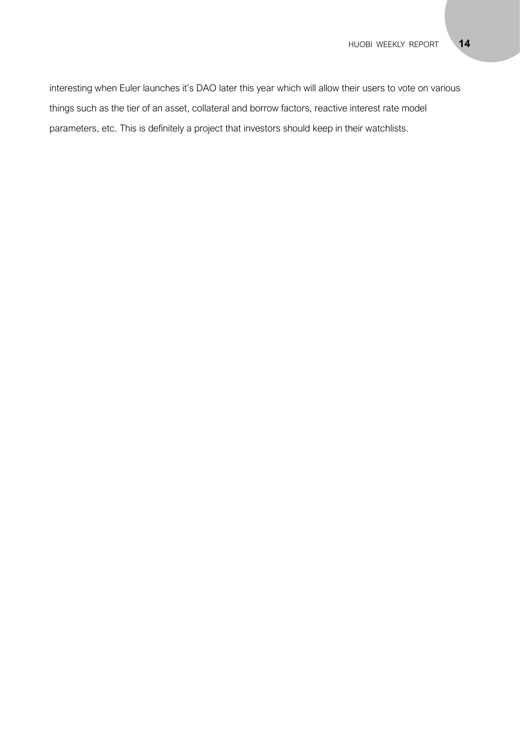interesting when Euler launches it's DAO later this year which will allow their users to vote on various things such as the tier of an asset, collateral and borrow factors, reactive interest rate model parameters, etc. This is definitely a project that investors should keep in their watchlists.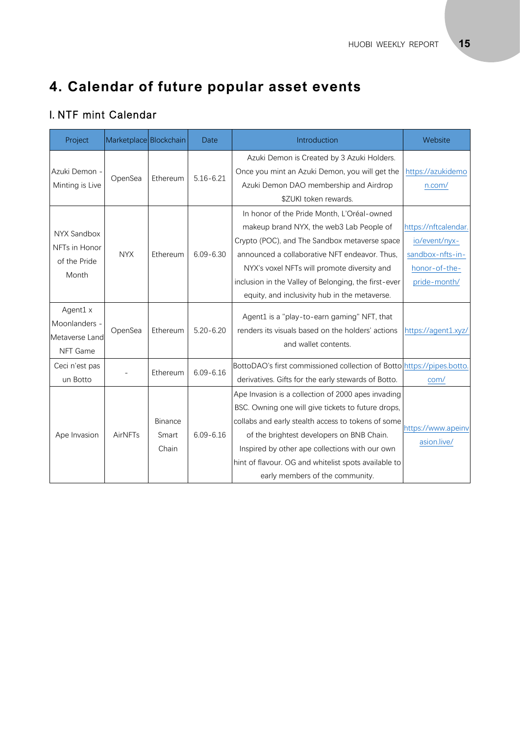# **4. Calendar of future popular asset events**

# I. NTF mint Calendar

| Project                                                 | Marketplace Blockchain |                           | Date          | Introduction                                                                                                                                                                                                                                                                                                                                             | Website                                                                                    |
|---------------------------------------------------------|------------------------|---------------------------|---------------|----------------------------------------------------------------------------------------------------------------------------------------------------------------------------------------------------------------------------------------------------------------------------------------------------------------------------------------------------------|--------------------------------------------------------------------------------------------|
| Azuki Demon -<br>Minting is Live                        | OpenSea                | Ethereum                  | $5.16 - 6.21$ | Azuki Demon is Created by 3 Azuki Holders.<br>Once you mint an Azuki Demon, you will get the<br>Azuki Demon DAO membership and Airdrop<br>\$ZUKI token rewards.                                                                                                                                                                                          | https://azukidemo<br>n.com/                                                                |
| NYX Sandbox<br>NFTs in Honor<br>of the Pride<br>Month   | <b>NYX</b>             | Ethereum                  | $6.09 - 6.30$ | In honor of the Pride Month, L'Oréal-owned<br>makeup brand NYX, the web3 Lab People of<br>Crypto (POC), and The Sandbox metaverse space<br>announced a collaborative NFT endeavor. Thus,<br>NYX's voxel NFTs will promote diversity and<br>inclusion in the Valley of Belonging, the first-ever<br>equity, and inclusivity hub in the metaverse.         | https://nftcalendar.<br>io/event/nyx-<br>sandbox-nfts-in-<br>honor-of-the-<br>pride-month/ |
| Agent1 x<br>Moonlanders -<br>Metaverse Land<br>NFT Game | OpenSea                | Ethereum                  | $5.20 - 6.20$ | Agent1 is a "play-to-earn gaming" NFT, that<br>renders its visuals based on the holders' actions<br>and wallet contents.                                                                                                                                                                                                                                 | https://agent1.xyz/                                                                        |
| Ceci n'est pas<br>un Botto                              |                        | Ethereum                  | $6.09 - 6.16$ | BottoDAO's first commissioned collection of Botto https://pipes.botto.<br>derivatives. Gifts for the early stewards of Botto.                                                                                                                                                                                                                            | com/                                                                                       |
| Ape Invasion                                            | AirNFTs                | Binance<br>Smart<br>Chain | $6.09 - 6.16$ | Ape Invasion is a collection of 2000 apes invading<br>BSC. Owning one will give tickets to future drops,<br>collabs and early stealth access to tokens of some<br>of the brightest developers on BNB Chain.<br>Inspired by other ape collections with our own<br>hint of flavour. OG and whitelist spots available to<br>early members of the community. | https://www.apeinv<br>asion.live/                                                          |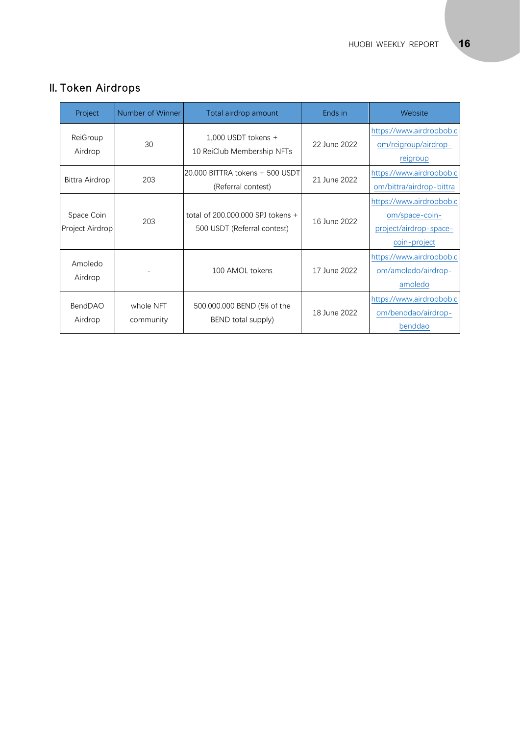| Project                       | Number of Winner       | Total airdrop amount                                             | Ends in      | Website                                                                              |
|-------------------------------|------------------------|------------------------------------------------------------------|--------------|--------------------------------------------------------------------------------------|
| ReiGroup<br>Airdrop           | 30                     | 1,000 USDT tokens +<br>10 ReiClub Membership NFTs                | 22 June 2022 | https://www.airdropbob.c<br>om/reigroup/airdrop-<br>reigroup                         |
| Bittra Airdrop                | 203                    | 20.000 BITTRA tokens + 500 USDT<br>(Referral contest)            | 21 June 2022 | https://www.airdropbob.c<br>om/bittra/airdrop-bittra                                 |
| Space Coin<br>Project Airdrop | 203                    | total of 200,000,000 SPJ tokens +<br>500 USDT (Referral contest) | 16 June 2022 | https://www.airdropbob.c<br>om/space-coin-<br>project/airdrop-space-<br>coin-project |
| Amoledo<br>Airdrop            |                        | 100 AMOL tokens                                                  | 17 June 2022 | https://www.airdropbob.c<br>om/amoledo/airdrop-<br>amoledo                           |
| <b>BendDAO</b><br>Airdrop     | whole NFT<br>community | 500.000.000 BEND (5% of the<br>BEND total supply)                | 18 June 2022 | https://www.airdropbob.c<br>om/benddao/airdrop-<br>benddao                           |

# II. Token Airdrops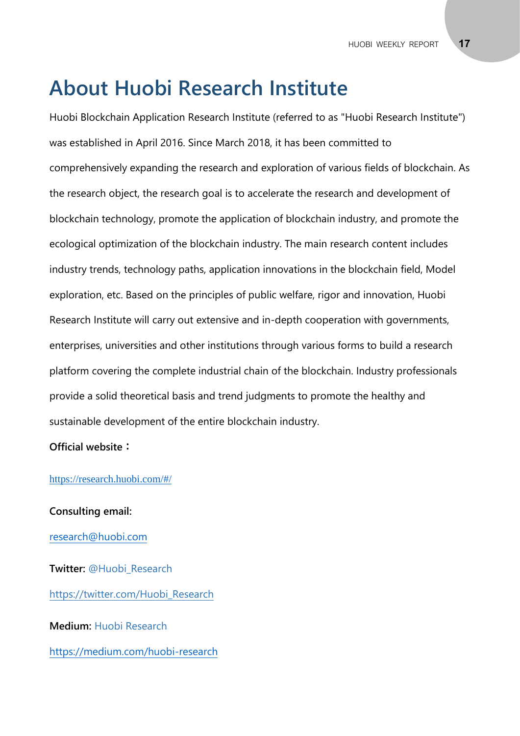# **About Huobi Research Institute**

Huobi Blockchain Application Research Institute (referred to as "Huobi Research Institute") was established in April 2016. Since March 2018, it has been committed to comprehensively expanding the research and exploration of various fields of blockchain. As the research object, the research goal is to accelerate the research and development of blockchain technology, promote the application of blockchain industry, and promote the ecological optimization of the blockchain industry. The main research content includes industry trends, technology paths, application innovations in the blockchain field, Model exploration, etc. Based on the principles of public welfare, rigor and innovation, Huobi Research Institute will carry out extensive and in-depth cooperation with governments, enterprises, universities and other institutions through various forms to build a research platform covering the complete industrial chain of the blockchain. Industry professionals provide a solid theoretical basis and trend judgments to promote the healthy and sustainable development of the entire blockchain industry.

#### **Official website:**

#### <https://research.huobi.com/#/>

**Consulting email:** [research@huobi.com](mailto:research@huobi.com) **Twitter:** @Huobi\_Research [https://twitter.com/Huobi\\_Research](https://twitter.com/Huobi_Research) **Medium:** Huobi Research

<https://medium.com/huobi-research>